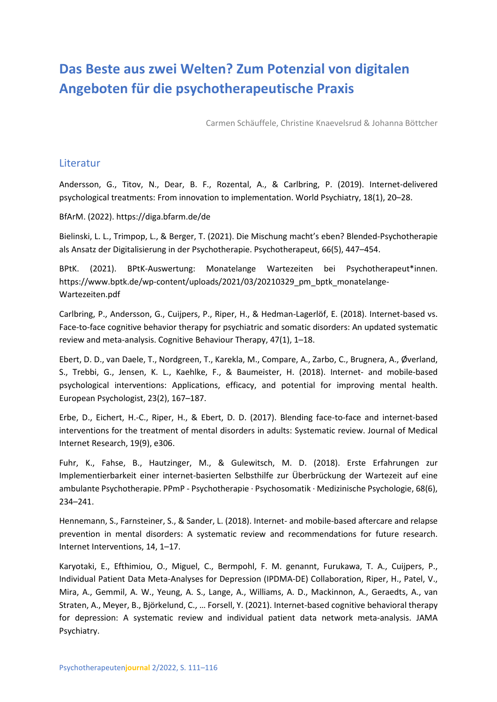## **Das Beste aus zwei Welten? Zum Potenzial von digitalen Angeboten für die psychotherapeutische Praxis**

Carmen Schäuffele, Christine Knaevelsrud & Johanna Böttcher

## Literatur

Andersson, G., Titov, N., Dear, B. F., Rozental, A., & Carlbring, P. (2019). Internet-delivered psychological treatments: From innovation to implementation. World Psychiatry, 18(1), 20–28.

BfArM. (2022). https://diga.bfarm.de/de

Bielinski, L. L., Trimpop, L., & Berger, T. (2021). Die Mischung macht's eben? Blended-Psychotherapie als Ansatz der Digitalisierung in der Psychotherapie. Psychotherapeut, 66(5), 447–454.

BPtK. (2021). BPtK-Auswertung: Monatelange Wartezeiten bei Psychotherapeut\*innen. https://www.bptk.de/wp-content/uploads/2021/03/20210329\_pm\_bptk\_monatelange-Wartezeiten.pdf

Carlbring, P., Andersson, G., Cuijpers, P., Riper, H., & Hedman-Lagerlöf, E. (2018). Internet-based vs. Face-to-face cognitive behavior therapy for psychiatric and somatic disorders: An updated systematic review and meta-analysis. Cognitive Behaviour Therapy, 47(1), 1–18.

Ebert, D. D., van Daele, T., Nordgreen, T., Karekla, M., Compare, A., Zarbo, C., Brugnera, A., Øverland, S., Trebbi, G., Jensen, K. L., Kaehlke, F., & Baumeister, H. (2018). Internet- and mobile-based psychological interventions: Applications, efficacy, and potential for improving mental health. European Psychologist, 23(2), 167–187.

Erbe, D., Eichert, H.-C., Riper, H., & Ebert, D. D. (2017). Blending face-to-face and internet-based interventions for the treatment of mental disorders in adults: Systematic review. Journal of Medical Internet Research, 19(9), e306.

Fuhr, K., Fahse, B., Hautzinger, M., & Gulewitsch, M. D. (2018). Erste Erfahrungen zur Implementierbarkeit einer internet-basierten Selbsthilfe zur Überbrückung der Wartezeit auf eine ambulante Psychotherapie. PPmP - Psychotherapie · Psychosomatik · Medizinische Psychologie, 68(6), 234–241.

Hennemann, S., Farnsteiner, S., & Sander, L. (2018). Internet- and mobile-based aftercare and relapse prevention in mental disorders: A systematic review and recommendations for future research. Internet Interventions, 14, 1–17.

Karyotaki, E., Efthimiou, O., Miguel, C., Bermpohl, F. M. genannt, Furukawa, T. A., Cuijpers, P., Individual Patient Data Meta-Analyses for Depression (IPDMA-DE) Collaboration, Riper, H., Patel, V., Mira, A., Gemmil, A. W., Yeung, A. S., Lange, A., Williams, A. D., Mackinnon, A., Geraedts, A., van Straten, A., Meyer, B., Björkelund, C., … Forsell, Y. (2021). Internet-based cognitive behavioral therapy for depression: A systematic review and individual patient data network meta-analysis. JAMA Psychiatry.